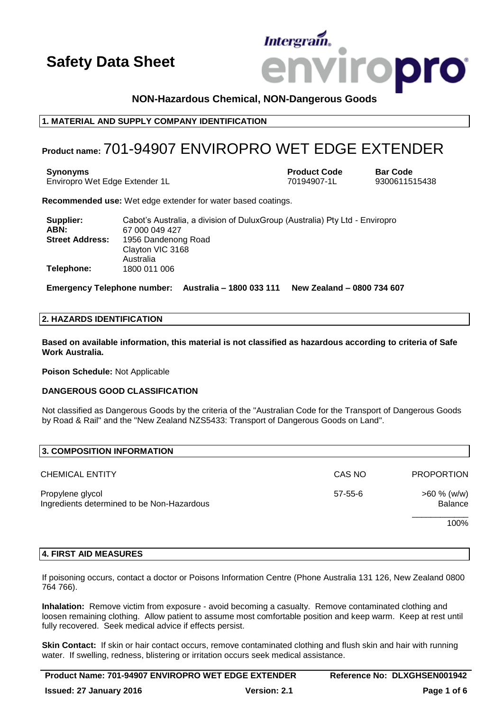# **Intergram iropro**

# **NON-Hazardous Chemical, NON-Dangerous Goods**

# **1. MATERIAL AND SUPPLY COMPANY IDENTIFICATION**

# **Product name:** 701-94907 ENVIROPRO WET EDGE EXTENDER

**Synonyms Product Code Bar Code** Enviropro Wet Edge Extender 1L 70194907-1L 9300611515438

**Recommended use:** Wet edge extender for water based coatings.

| Supplier:<br>ABN:      | Cabot's Australia, a division of DuluxGroup (Australia) Pty Ltd - Enviropro<br>67 000 049 427 |
|------------------------|-----------------------------------------------------------------------------------------------|
| <b>Street Address:</b> | 1956 Dandenong Road<br>Clayton VIC 3168<br>Australia                                          |
| Telephone:             | 1800 011 006                                                                                  |

**Emergency Telephone number: Australia – 1800 033 111 New Zealand – 0800 734 607**

### **2. HAZARDS IDENTIFICATION**

**Based on available information, this material is not classified as hazardous according to criteria of Safe Work Australia.**

**Poison Schedule:** Not Applicable

# **DANGEROUS GOOD CLASSIFICATION**

Not classified as Dangerous Goods by the criteria of the "Australian Code for the Transport of Dangerous Goods by Road & Rail" and the "New Zealand NZS5433: Transport of Dangerous Goods on Land".

| 3. COMPOSITION INFORMATION                                     |               |                           |
|----------------------------------------------------------------|---------------|---------------------------|
| <b>CHEMICAL ENTITY</b>                                         | CAS NO        | <b>PROPORTION</b>         |
| Propylene glycol<br>Ingredients determined to be Non-Hazardous | $57 - 55 - 6$ | $>60 \%$ (w/w)<br>Balance |
|                                                                |               | 100%                      |

# **4. FIRST AID MEASURES**

If poisoning occurs, contact a doctor or Poisons Information Centre (Phone Australia 131 126, New Zealand 0800 764 766).

**Inhalation:** Remove victim from exposure - avoid becoming a casualty. Remove contaminated clothing and loosen remaining clothing. Allow patient to assume most comfortable position and keep warm. Keep at rest until fully recovered. Seek medical advice if effects persist.

**Skin Contact:** If skin or hair contact occurs, remove contaminated clothing and flush skin and hair with running water. If swelling, redness, blistering or irritation occurs seek medical assistance.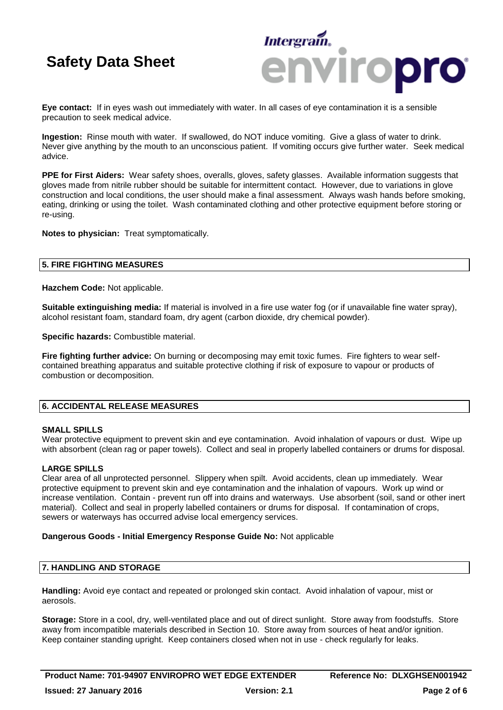

**Eye contact:** If in eyes wash out immediately with water. In all cases of eye contamination it is a sensible precaution to seek medical advice.

**Ingestion:** Rinse mouth with water. If swallowed, do NOT induce vomiting. Give a glass of water to drink. Never give anything by the mouth to an unconscious patient. If vomiting occurs give further water. Seek medical advice.

**PPE for First Aiders:** Wear safety shoes, overalls, gloves, safety glasses. Available information suggests that gloves made from nitrile rubber should be suitable for intermittent contact. However, due to variations in glove construction and local conditions, the user should make a final assessment. Always wash hands before smoking, eating, drinking or using the toilet. Wash contaminated clothing and other protective equipment before storing or re-using.

**Notes to physician:** Treat symptomatically.

### **5. FIRE FIGHTING MEASURES**

**Hazchem Code:** Not applicable.

**Suitable extinguishing media:** If material is involved in a fire use water fog (or if unavailable fine water spray), alcohol resistant foam, standard foam, dry agent (carbon dioxide, dry chemical powder).

**Specific hazards:** Combustible material.

**Fire fighting further advice:** On burning or decomposing may emit toxic fumes. Fire fighters to wear selfcontained breathing apparatus and suitable protective clothing if risk of exposure to vapour or products of combustion or decomposition.

# **6. ACCIDENTAL RELEASE MEASURES**

#### **SMALL SPILLS**

Wear protective equipment to prevent skin and eye contamination. Avoid inhalation of vapours or dust. Wipe up with absorbent (clean rag or paper towels). Collect and seal in properly labelled containers or drums for disposal.

# **LARGE SPILLS**

Clear area of all unprotected personnel. Slippery when spilt. Avoid accidents, clean up immediately. Wear protective equipment to prevent skin and eye contamination and the inhalation of vapours. Work up wind or increase ventilation. Contain - prevent run off into drains and waterways. Use absorbent (soil, sand or other inert material). Collect and seal in properly labelled containers or drums for disposal. If contamination of crops, sewers or waterways has occurred advise local emergency services.

#### **Dangerous Goods - Initial Emergency Response Guide No:** Not applicable

# **7. HANDLING AND STORAGE**

**Handling:** Avoid eye contact and repeated or prolonged skin contact. Avoid inhalation of vapour, mist or aerosols.

**Storage:** Store in a cool, dry, well-ventilated place and out of direct sunlight. Store away from foodstuffs. Store away from incompatible materials described in Section 10. Store away from sources of heat and/or ignition. Keep container standing upright. Keep containers closed when not in use - check regularly for leaks.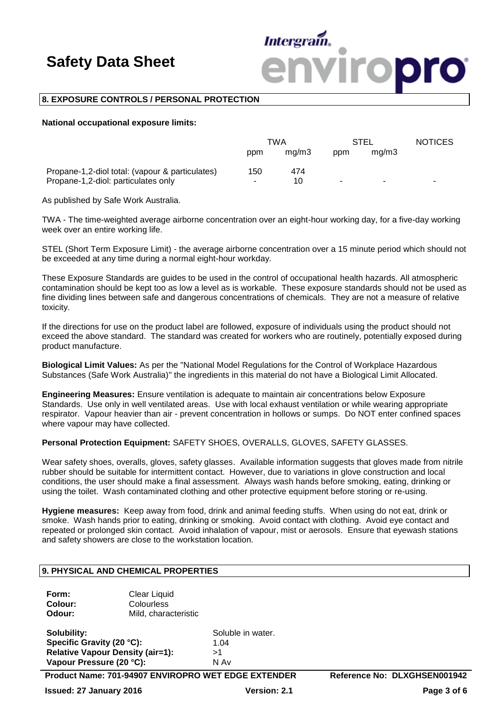

### **8. EXPOSURE CONTROLS / PERSONAL PROTECTION**

#### **National occupational exposure limits:**

|                                                 | TWA |       | STEL |       | <b>NOTICES</b> |
|-------------------------------------------------|-----|-------|------|-------|----------------|
|                                                 | ppm | ma/m3 | ppm  | ma/m3 |                |
| Propane-1,2-diol total: (vapour & particulates) | 150 | 474   |      |       |                |
| Propane-1,2-diol: particulates only             |     | 10.   |      |       | -              |

As published by Safe Work Australia.

TWA - The time-weighted average airborne concentration over an eight-hour working day, for a five-day working week over an entire working life.

STEL (Short Term Exposure Limit) - the average airborne concentration over a 15 minute period which should not be exceeded at any time during a normal eight-hour workday.

These Exposure Standards are guides to be used in the control of occupational health hazards. All atmospheric contamination should be kept too as low a level as is workable. These exposure standards should not be used as fine dividing lines between safe and dangerous concentrations of chemicals. They are not a measure of relative toxicity.

If the directions for use on the product label are followed, exposure of individuals using the product should not exceed the above standard. The standard was created for workers who are routinely, potentially exposed during product manufacture.

**Biological Limit Values:** As per the "National Model Regulations for the Control of Workplace Hazardous Substances (Safe Work Australia)" the ingredients in this material do not have a Biological Limit Allocated.

**Engineering Measures:** Ensure ventilation is adequate to maintain air concentrations below Exposure Standards. Use only in well ventilated areas. Use with local exhaust ventilation or while wearing appropriate respirator. Vapour heavier than air - prevent concentration in hollows or sumps. Do NOT enter confined spaces where vapour may have collected.

#### **Personal Protection Equipment:** SAFETY SHOES, OVERALLS, GLOVES, SAFETY GLASSES.

Wear safety shoes, overalls, gloves, safety glasses. Available information suggests that gloves made from nitrile rubber should be suitable for intermittent contact. However, due to variations in glove construction and local conditions, the user should make a final assessment. Always wash hands before smoking, eating, drinking or using the toilet. Wash contaminated clothing and other protective equipment before storing or re-using.

**Hygiene measures:** Keep away from food, drink and animal feeding stuffs. When using do not eat, drink or smoke. Wash hands prior to eating, drinking or smoking. Avoid contact with clothing. Avoid eye contact and repeated or prolonged skin contact. Avoid inhalation of vapour, mist or aerosols. Ensure that eyewash stations and safety showers are close to the workstation location.

### **9. PHYSICAL AND CHEMICAL PROPERTIES**

Form: Clear Liquid **Colour:** Colourless<br> **Odour:** Mild.chara **Odour:** Mild, characteristic

**Solubility:** Soluble in water. **Specific Gravity (20 °C):** 1.04 **Relative Vapour Density (air=1):** >1 **Vapour Pressure (20 °C):** 

**Product Name: 701-94907 ENVIROPRO WET EDGE EXTENDER Reference No: DLXGHSEN001942**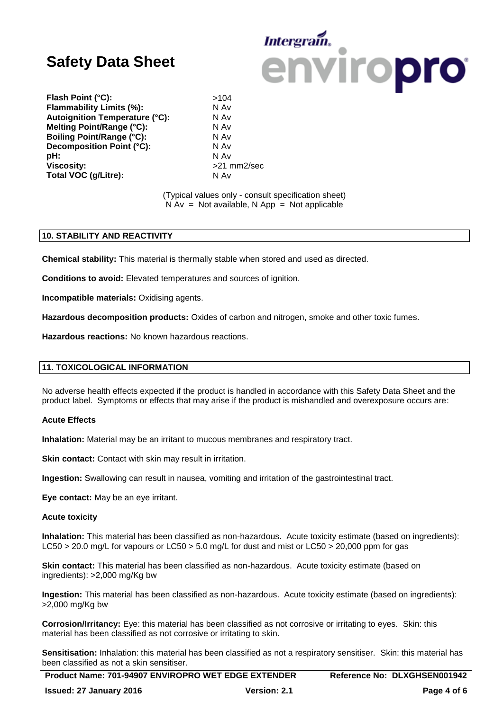

**Flash Point (°C):**  $>104$ <br>**Flammability Limits (%):** N Av **Flammability Limits (%): <br><b>Autoignition Temperature (°C):** N Av **Autoignition Temperature (°C): Melting Point/Range (°C):** N Av **Boiling Point/Range (°C):** N Av **Decomposition Point (°C):** N Av **pH:** N Av **Viscosity:**  $>21$  mm2/sec **Total VOC (g/Litre):** N Av

(Typical values only - consult specification sheet)  $N Av = Not available, N App = Not applicable$ 

### **10. STABILITY AND REACTIVITY**

**Chemical stability:** This material is thermally stable when stored and used as directed.

**Conditions to avoid:** Elevated temperatures and sources of ignition.

**Incompatible materials:** Oxidising agents.

**Hazardous decomposition products:** Oxides of carbon and nitrogen, smoke and other toxic fumes.

**Hazardous reactions:** No known hazardous reactions.

# **11. TOXICOLOGICAL INFORMATION**

No adverse health effects expected if the product is handled in accordance with this Safety Data Sheet and the product label. Symptoms or effects that may arise if the product is mishandled and overexposure occurs are:

### **Acute Effects**

**Inhalation:** Material may be an irritant to mucous membranes and respiratory tract.

**Skin contact:** Contact with skin may result in irritation.

**Ingestion:** Swallowing can result in nausea, vomiting and irritation of the gastrointestinal tract.

**Eye contact:** May be an eye irritant.

#### **Acute toxicity**

**Inhalation:** This material has been classified as non-hazardous. Acute toxicity estimate (based on ingredients): LC50 > 20.0 mg/L for vapours or LC50 > 5.0 mg/L for dust and mist or LC50 > 20,000 ppm for gas

**Skin contact:** This material has been classified as non-hazardous. Acute toxicity estimate (based on ingredients): >2,000 mg/Kg bw

**Ingestion:** This material has been classified as non-hazardous. Acute toxicity estimate (based on ingredients): >2,000 mg/Kg bw

**Corrosion/Irritancy:** Eye: this material has been classified as not corrosive or irritating to eyes. Skin: this material has been classified as not corrosive or irritating to skin.

**Sensitisation:** Inhalation: this material has been classified as not a respiratory sensitiser. Skin: this material has been classified as not a skin sensitiser.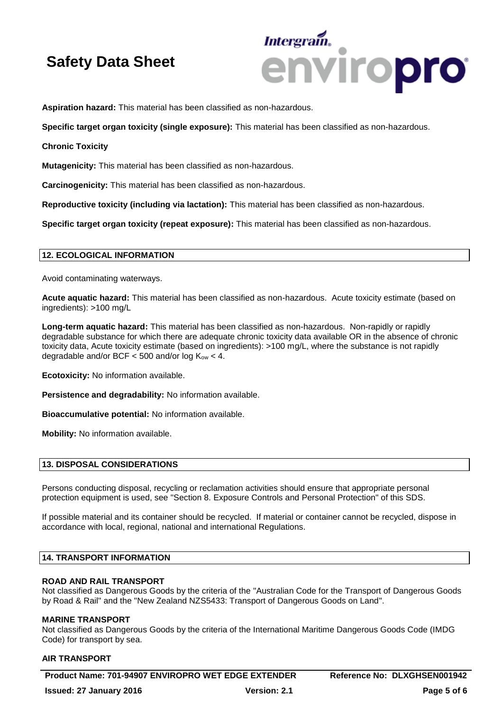

**Aspiration hazard:** This material has been classified as non-hazardous.

**Specific target organ toxicity (single exposure):** This material has been classified as non-hazardous.

**Chronic Toxicity**

**Mutagenicity:** This material has been classified as non-hazardous.

**Carcinogenicity:** This material has been classified as non-hazardous.

**Reproductive toxicity (including via lactation):** This material has been classified as non-hazardous.

**Specific target organ toxicity (repeat exposure):** This material has been classified as non-hazardous.

# **12. ECOLOGICAL INFORMATION**

Avoid contaminating waterways.

**Acute aquatic hazard:** This material has been classified as non-hazardous. Acute toxicity estimate (based on ingredients): >100 mg/L

**Long-term aquatic hazard:** This material has been classified as non-hazardous. Non-rapidly or rapidly degradable substance for which there are adequate chronic toxicity data available OR in the absence of chronic toxicity data, Acute toxicity estimate (based on ingredients): >100 mg/L, where the substance is not rapidly degradable and/or BCF  $<$  500 and/or log  $K_{ow}$   $<$  4.

**Ecotoxicity:** No information available.

**Persistence and degradability:** No information available.

**Bioaccumulative potential:** No information available.

**Mobility:** No information available.

### **13. DISPOSAL CONSIDERATIONS**

Persons conducting disposal, recycling or reclamation activities should ensure that appropriate personal protection equipment is used, see "Section 8. Exposure Controls and Personal Protection" of this SDS.

If possible material and its container should be recycled. If material or container cannot be recycled, dispose in accordance with local, regional, national and international Regulations.

# **14. TRANSPORT INFORMATION**

#### **ROAD AND RAIL TRANSPORT**

Not classified as Dangerous Goods by the criteria of the "Australian Code for the Transport of Dangerous Goods by Road & Rail" and the "New Zealand NZS5433: Transport of Dangerous Goods on Land".

#### **MARINE TRANSPORT**

Not classified as Dangerous Goods by the criteria of the International Maritime Dangerous Goods Code (IMDG Code) for transport by sea.

# **AIR TRANSPORT**

**Product Name: 701-94907 ENVIROPRO WET EDGE EXTENDER Reference No: DLXGHSEN001942**